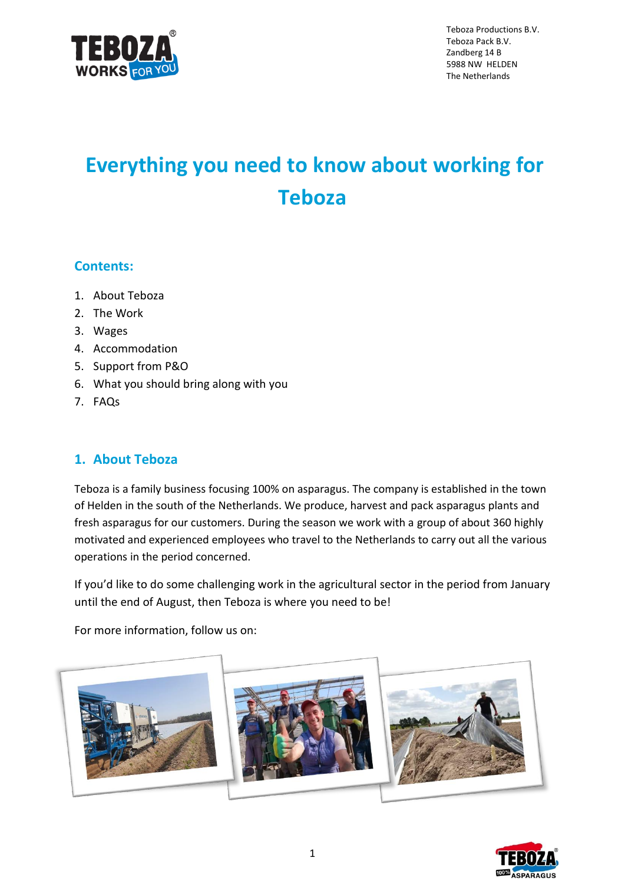

Teboza Productions B.V. Teboza Pack B.V. Zandberg 14 B 5988 NW HELDEN The Netherlands

# **Everything you need to know about working for Teboza**

# **Contents:**

- 1. About Teboza
- 2. The Work
- 3. Wages
- 4. Accommodation
- 5. Support from P&O
- 6. What you should bring along with you
- 7. FAQs

# **1. About Teboza**

Teboza is a family business focusing 100% on asparagus. The company is established in the town of Helden in the south of the Netherlands. We produce, harvest and pack asparagus plants and fresh asparagus for our customers. During the season we work with a group of about 360 highly motivated and experienced employees who travel to the Netherlands to carry out all the various operations in the period concerned.

If you'd like to do some challenging work in the agricultural sector in the period from January until the end of August, then Teboza is where you need to be!

For more information, follow us on:



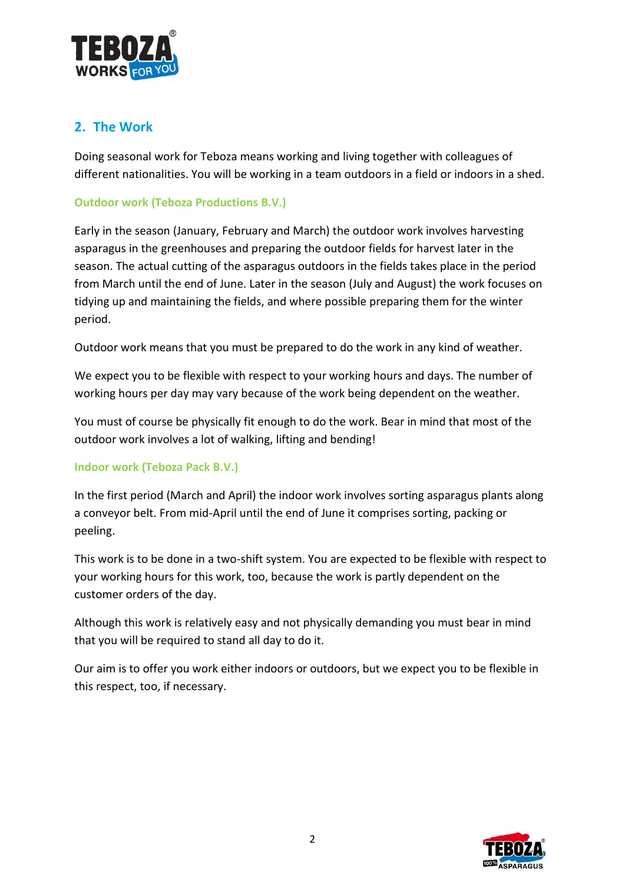

# **2. The Work**

Doing seasonal work for Teboza means working and living together with colleagues of different nationalities. You will be working in a team outdoors in a field or indoors in a shed.

# **Outdoor work (Teboza Productions B.V.)**

Early in the season (January, February and March) the outdoor work involves harvesting asparagus in the greenhouses and preparing the outdoor fields for harvest later in the season. The actual cutting of the asparagus outdoors in the fields takes place in the period from March until the end of June. Later in the season (July and August) the work focuses on tidying up and maintaining the fields, and where possible preparing them for the winter period.

Outdoor work means that you must be prepared to do the work in any kind of weather.

We expect you to be flexible with respect to your working hours and days. The number of working hours per day may vary because of the work being dependent on the weather.

You must of course be physically fit enough to do the work. Bear in mind that most of the outdoor work involves a lot of walking, lifting and bending!

### **Indoor work (Teboza Pack B.V.)**

In the first period (March and April) the indoor work involves sorting asparagus plants along a conveyor belt. From mid-April until the end of June it comprises sorting, packing or peeling.

This work is to be done in a two-shift system. You are expected to be flexible with respect to your working hours for this work, too, because the work is partly dependent on the customer orders of the day.

Although this work is relatively easy and not physically demanding you must bear in mind that you will be required to stand all day to do it.

Our aim is to offer you work either indoors or outdoors, but we expect you to be flexible in this respect, too, if necessary.

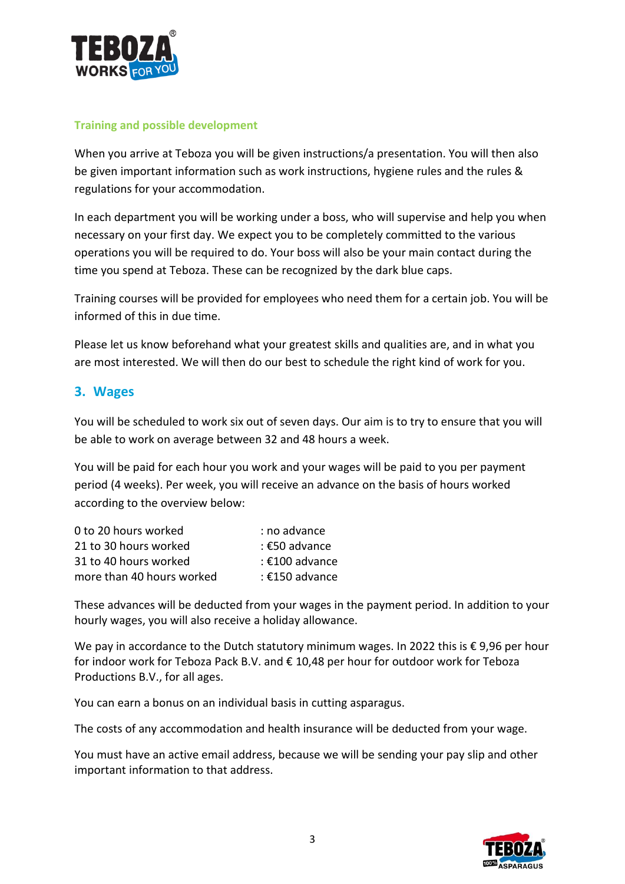

### **Training and possible development**

When you arrive at Teboza you will be given instructions/a presentation. You will then also be given important information such as work instructions, hygiene rules and the rules & regulations for your accommodation.

In each department you will be working under a boss, who will supervise and help you when necessary on your first day. We expect you to be completely committed to the various operations you will be required to do. Your boss will also be your main contact during the time you spend at Teboza. These can be recognized by the dark blue caps.

Training courses will be provided for employees who need them for a certain job. You will be informed of this in due time.

Please let us know beforehand what your greatest skills and qualities are, and in what you are most interested. We will then do our best to schedule the right kind of work for you.

# **3. Wages**

You will be scheduled to work six out of seven days. Our aim is to try to ensure that you will be able to work on average between 32 and 48 hours a week.

You will be paid for each hour you work and your wages will be paid to you per payment period (4 weeks). Per week, you will receive an advance on the basis of hours worked according to the overview below:

| 0 to 20 hours worked      | : no advance   |
|---------------------------|----------------|
| 21 to 30 hours worked     | : €50 advance  |
| 31 to 40 hours worked     | : €100 advance |
| more than 40 hours worked | : €150 advance |

These advances will be deducted from your wages in the payment period. In addition to your hourly wages, you will also receive a holiday allowance.

We pay in accordance to the Dutch statutory minimum wages. In 2022 this is €9,96 per hour for indoor work for Teboza Pack B.V. and € 10,48 per hour for outdoor work for Teboza Productions B.V., for all ages.

You can earn a bonus on an individual basis in cutting asparagus.

The costs of any accommodation and health insurance will be deducted from your wage.

You must have an active email address, because we will be sending your pay slip and other important information to that address.

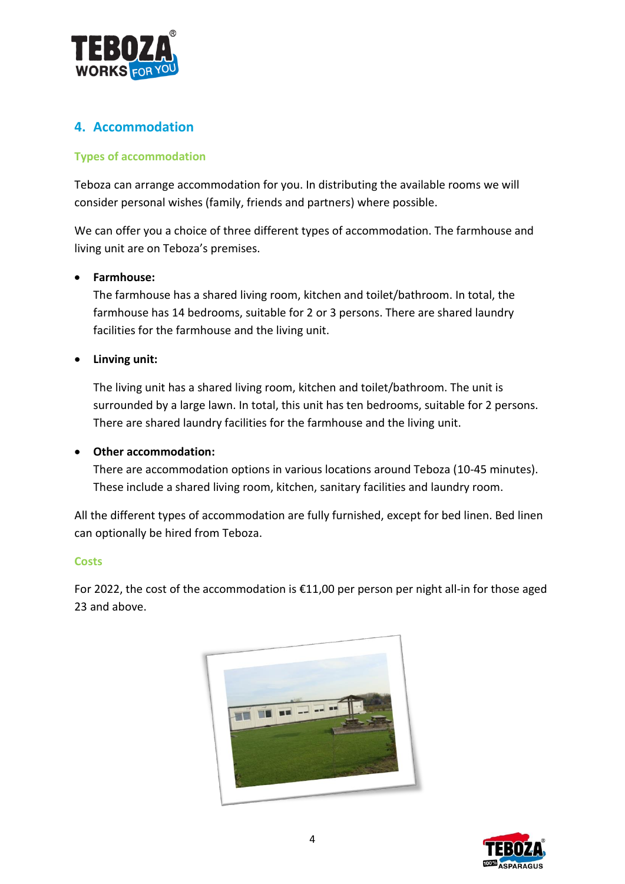

# **4. Accommodation**

## **Types of accommodation**

Teboza can arrange accommodation for you. In distributing the available rooms we will consider personal wishes (family, friends and partners) where possible.

We can offer you a choice of three different types of accommodation. The farmhouse and living unit are on Teboza's premises.

### • **Farmhouse:**

The farmhouse has a shared living room, kitchen and toilet/bathroom. In total, the farmhouse has 14 bedrooms, suitable for 2 or 3 persons. There are shared laundry facilities for the farmhouse and the living unit.

### • **Linving unit:**

The living unit has a shared living room, kitchen and toilet/bathroom. The unit is surrounded by a large lawn. In total, this unit has ten bedrooms, suitable for 2 persons. There are shared laundry facilities for the farmhouse and the living unit.

### • **Other accommodation:**

There are accommodation options in various locations around Teboza (10-45 minutes). These include a shared living room, kitchen, sanitary facilities and laundry room.

All the different types of accommodation are fully furnished, except for bed linen. Bed linen can optionally be hired from Teboza.

### **Costs**

For 2022, the cost of the accommodation is €11,00 per person per night all-in for those aged 23 and above.



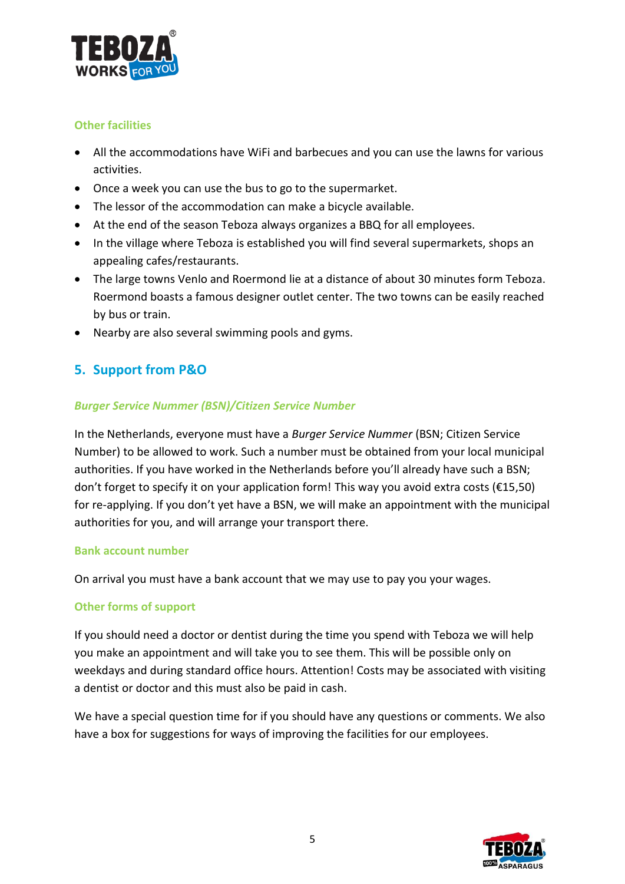

### **Other facilities**

- All the accommodations have WiFi and barbecues and you can use the lawns for various activities.
- Once a week you can use the bus to go to the supermarket.
- The lessor of the accommodation can make a bicycle available.
- At the end of the season Teboza always organizes a BBQ for all employees.
- In the village where Teboza is established you will find several supermarkets, shops an appealing cafes/restaurants.
- The large towns Venlo and Roermond lie at a distance of about 30 minutes form Teboza. Roermond boasts a famous designer outlet center. The two towns can be easily reached by bus or train.
- Nearby are also several swimming pools and gyms.

# **5. Support from P&O**

### *Burger Service Nummer (BSN)/Citizen Service Number*

In the Netherlands, everyone must have a *Burger Service Nummer* (BSN; Citizen Service Number) to be allowed to work. Such a number must be obtained from your local municipal authorities. If you have worked in the Netherlands before you'll already have such a BSN; don't forget to specify it on your application form! This way you avoid extra costs (€15,50) for re-applying. If you don't yet have a BSN, we will make an appointment with the municipal authorities for you, and will arrange your transport there.

### **Bank account number**

On arrival you must have a bank account that we may use to pay you your wages.

### **Other forms of support**

If you should need a doctor or dentist during the time you spend with Teboza we will help you make an appointment and will take you to see them. This will be possible only on weekdays and during standard office hours. Attention! Costs may be associated with visiting a dentist or doctor and this must also be paid in cash.

We have a special question time for if you should have any questions or comments. We also have a box for suggestions for ways of improving the facilities for our employees.

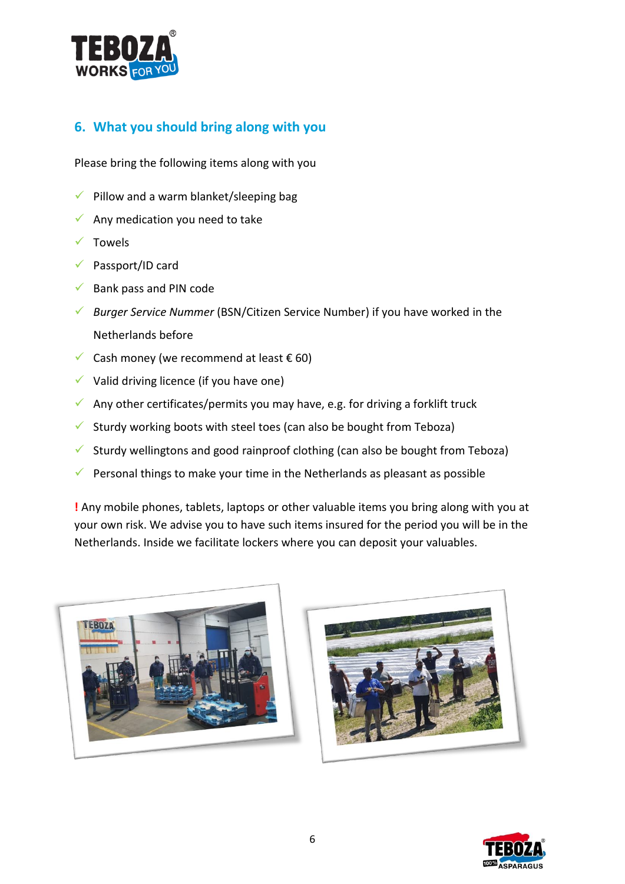

# **6. What you should bring along with you**

Please bring the following items along with you

- $\checkmark$  Pillow and a warm blanket/sleeping bag
- $\checkmark$  Any medication you need to take
- ✓ Towels
- ✓ Passport/ID card
- $\checkmark$  Bank pass and PIN code
- ✓ *Burger Service Nummer* (BSN/Citizen Service Number) if you have worked in the Netherlands before
- $✓$  Cash money (we recommend at least € 60)
- $\checkmark$  Valid driving licence (if you have one)
- $\checkmark$  Any other certificates/permits you may have, e.g. for driving a forklift truck
- $\checkmark$  Sturdy working boots with steel toes (can also be bought from Teboza)
- ✓ Sturdy wellingtons and good rainproof clothing (can also be bought from Teboza)
- $\checkmark$  Personal things to make your time in the Netherlands as pleasant as possible

**!** Any mobile phones, tablets, laptops or other valuable items you bring along with you at your own risk. We advise you to have such items insured for the period you will be in the Netherlands. Inside we facilitate lockers where you can deposit your valuables.





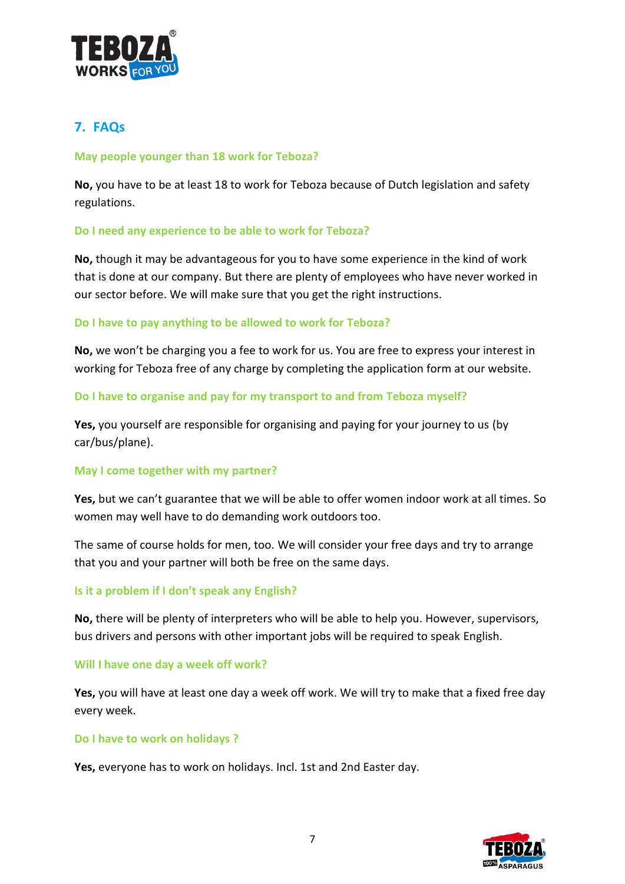

# **7. FAQs**

### **May people younger than 18 work for Teboza?**

**No,** you have to be at least 18 to work for Teboza because of Dutch legislation and safety regulations.

### **Do I need any experience to be able to work for Teboza?**

**No,** though it may be advantageous for you to have some experience in the kind of work that is done at our company. But there are plenty of employees who have never worked in our sector before. We will make sure that you get the right instructions.

### **Do I have to pay anything to be allowed to work for Teboza?**

**No,** we won't be charging you a fee to work for us. You are free to express your interest in working for Teboza free of any charge by completing the application form at our website.

### **Do I have to organise and pay for my transport to and from Teboza myself?**

**Yes,** you yourself are responsible for organising and paying for your journey to us (by car/bus/plane).

### **May I come together with my partner?**

**Yes,** but we can't guarantee that we will be able to offer women indoor work at all times. So women may well have to do demanding work outdoors too.

The same of course holds for men, too. We will consider your free days and try to arrange that you and your partner will both be free on the same days.

### **Is it a problem if I don't speak any English?**

**No,** there will be plenty of interpreters who will be able to help you. However, supervisors, bus drivers and persons with other important jobs will be required to speak English.

#### **Will I have one day a week off work?**

**Yes,** you will have at least one day a week off work. We will try to make that a fixed free day every week.

### **Do I have to work on holidays ?**

**Yes,** everyone has to work on holidays. Incl. 1st and 2nd Easter day.